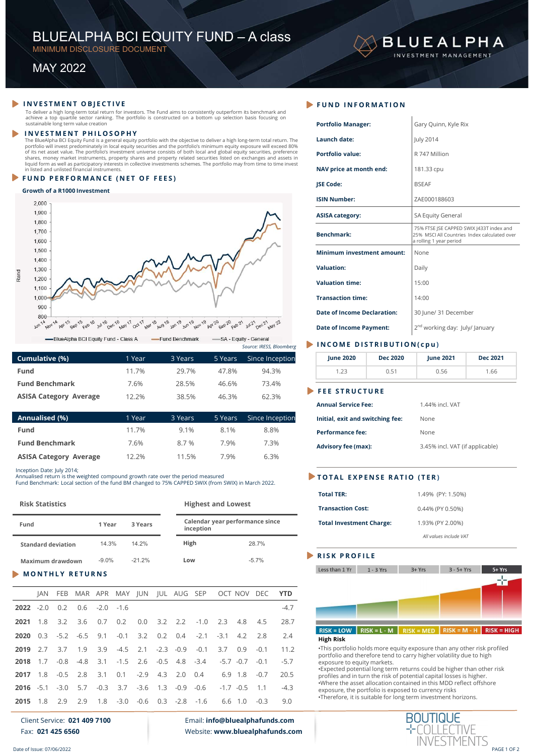# BLUEALPHA BCI EQUITY FUND – A class<br>
MINIMUM DISCLOSURE DOCUMENT<br>
MAY 2022 BLUEALPHA BCI EQUITY FUND - A class<br>
MINIMUM DISCLOSURE DOCUMENT<br>
MAY 2022 **BLUEALPHA BCI EQUITY FUND — A class**<br>
MINIMUM DISCLOSURE DOCUMENT<br>
MAY 2022<br>
VESTMENT OBJECTIVE<br>
VESTMENT OBJECTIVE<br>
VESTMENT OBJECTIVE<br>
VESTMENT OBJECTIVE<br>
VESTMENT OBJECTIVE<br>
PUND IN<br>
PUND IN EQUATE:<br>
FUND IN EQUATE:<br>
P

## Growth of a R1000 Investment



|                       |        |         |         | Source: IRESS, Bloomberg |
|-----------------------|--------|---------|---------|--------------------------|
| Cumulative (%)        | 1 Year | 3 Years | 5 Years | Since Inception          |
| <b>Fund</b>           | 11.7%  | 29.7%   | 47.8%   | 94.3%                    |
| <b>Fund Benchmark</b> | 7.6%   | 28.5%   | 46.6%   | 73.4%                    |
|                       |        |         |         | -- --                    |

| Annualised (%)                | 1 Year | 3 Years | 5 Years | Since Inception |
|-------------------------------|--------|---------|---------|-----------------|
| <b>Fund</b>                   | 11.7%  | 9.1%    | 8.1%    | 8.8%            |
| <b>Fund Benchmark</b>         | 7.6%   | 8.7 %   | 7.9%    | 7.3%            |
| <b>ASISA Category Average</b> | 12.2%  | 11.5%   | 7.9%    | 6.3%            |

| ř           | 1,200<br>1,100              |                            |                                      |               |         |                                                                                 |               |                    |                           |                                                        |     |                                                                                                    |            | <b>Valuation time:</b>                        |                 | 15:00            |                                            |                    |
|-------------|-----------------------------|----------------------------|--------------------------------------|---------------|---------|---------------------------------------------------------------------------------|---------------|--------------------|---------------------------|--------------------------------------------------------|-----|----------------------------------------------------------------------------------------------------|------------|-----------------------------------------------|-----------------|------------------|--------------------------------------------|--------------------|
|             | $1,000 -$                   |                            |                                      |               |         |                                                                                 |               |                    |                           |                                                        |     |                                                                                                    |            | <b>Transaction time:</b>                      |                 | 14:00            |                                            |                    |
|             | 900<br>800                  |                            |                                      |               |         |                                                                                 |               |                    |                           |                                                        |     |                                                                                                    |            | <b>Date of Income Declaration:</b>            |                 |                  | 30 June/ 31 December                       |                    |
|             | Nov 14<br>Jun <sub>14</sub> | <b>Apr 15</b>              | Sep 15<br>$F^{\text{ab}}$ 16         | Jul 16 pec 16 | May 17  | Oct 17<br>Mar 18                                                                | Aug 18 Jan 19 | <b>Jun 19</b>      | Nov 19                    | Apr 20<br>$E_{\text{eff}}^2$ $2^0$ $\epsilon$ eb $2^1$ |     | $Jul^2$ $Dec^2$ $M2^2$                                                                             |            | <b>Date of Income Payment:</b>                |                 |                  | 2 <sup>nd</sup> working day: July/ January |                    |
|             |                             |                            | -BlueAlpha BCI Equity Fund - Class A |               |         |                                                                                 |               | -Fund Benchmark    |                           | -SA - Equity - General                                 |     | Source: IRESS, Bloomberg                                                                           |            | INCOME DISTRIBUTION(cpu)                      |                 |                  |                                            |                    |
|             | Cumulative (%)              |                            |                                      |               |         | 1 Year                                                                          |               | 3 Years            |                           | 5 Years                                                |     | Since Inception                                                                                    |            | <b>June 2020</b>                              | <b>Dec 2020</b> | <b>June 2021</b> |                                            | <b>Dec 2021</b>    |
| <b>Fund</b> |                             |                            |                                      |               |         | 11.7%                                                                           |               | 29.7%              |                           | 47.8%                                                  |     | 94.3%                                                                                              |            | 1.23                                          | 0.51            | 0.56             |                                            | 1.66               |
|             |                             | <b>Fund Benchmark</b>      |                                      |               |         | 7.6%                                                                            |               | 28.5%              |                           | 46.6%                                                  |     | 73.4%                                                                                              |            |                                               |                 |                  |                                            |                    |
|             |                             |                            | <b>ASISA Category Average</b>        |               |         | 12.2%                                                                           |               | 38.5%              |                           | 46.3%                                                  |     | 62.3%                                                                                              |            | <b>FEE STRUCTURE</b>                          |                 |                  |                                            |                    |
|             |                             |                            |                                      |               |         |                                                                                 |               |                    |                           |                                                        |     |                                                                                                    |            | <b>Annual Service Fee:</b>                    |                 | 1.44% incl. VAT  |                                            |                    |
|             | Annualised (%)              |                            |                                      |               |         | 1 Year                                                                          |               | 3 Years            |                           | 5 Years                                                |     | Since Inception                                                                                    |            | Initial, exit and switching fee:              |                 | None             |                                            |                    |
| Fund        |                             |                            |                                      |               |         | 11.7%                                                                           |               | 9.1%               |                           | 8.1%                                                   |     | 8.8%                                                                                               |            | <b>Performance fee:</b>                       |                 | None             |                                            |                    |
|             |                             | <b>Fund Benchmark</b>      |                                      |               |         | 7.6%                                                                            |               | 8.7%               |                           | 7.9%                                                   |     | 7.3%                                                                                               |            | <b>Advisory fee (max):</b>                    |                 |                  | 3.45% incl. VAT (if applicable)            |                    |
|             |                             |                            | <b>ASISA Category Average</b>        |               |         | 12.2%                                                                           |               | 11.5%              |                           | 7.9%                                                   |     | 6.3%                                                                                               |            |                                               |                 |                  |                                            |                    |
|             |                             | Inception Date: July 2014; |                                      |               |         | Annualised return is the weighted compound growth rate over the period measured |               |                    |                           |                                                        |     | Fund Benchmark: Local section of the fund BM changed to 75% CAPPED SWIX (from SWIX) in March 2022. |            | TOTAL EXPENSE RATIO (TER)                     |                 |                  |                                            |                    |
|             | <b>Risk Statistics</b>      |                            |                                      |               |         |                                                                                 |               |                    | <b>Highest and Lowest</b> |                                                        |     |                                                                                                    |            | <b>Total TER:</b><br><b>Transaction Cost:</b> |                 |                  | 1.49% (PY: 1.50%)                          |                    |
|             |                             |                            |                                      |               |         |                                                                                 |               |                    |                           |                                                        |     |                                                                                                    |            |                                               |                 | 0.44% (PY 0.50%) |                                            |                    |
| Fund        |                             |                            |                                      | 1 Year        |         | 3 Years                                                                         |               |                    | inception                 |                                                        |     | Calendar year performance since                                                                    |            | <b>Total Investment Charge:</b>               |                 | 1.93% (PY 2.00%) |                                            |                    |
|             |                             | <b>Standard deviation</b>  |                                      | 14.3%         |         | 14.2%                                                                           |               | High               |                           |                                                        |     | 28.7%                                                                                              |            |                                               |                 |                  | All values include VAT                     |                    |
|             |                             | <b>Maximum drawdown</b>    |                                      | $-9.0%$       |         | $-21.2%$                                                                        |               | Low                |                           |                                                        |     | $-5.7%$                                                                                            |            | <b>RISK PROFILE</b>                           |                 |                  |                                            |                    |
|             |                             |                            | <b>MONTHLY RETURNS</b>               |               |         |                                                                                 |               |                    |                           |                                                        |     |                                                                                                    |            | Less than 1 Yr                                | $1 - 3$ Yrs     | $3 + Yrs$        | $3 - 5 + Yrs$                              | 5+ Yrs             |
|             | <b>JAN</b>                  | <b>FEB</b>                 |                                      | MAR APR       | MAY IUN |                                                                                 |               | <b>IUL AUG SEP</b> |                           |                                                        |     | OCT NOV DEC                                                                                        | <b>YTD</b> |                                               |                 |                  |                                            | m                  |
| 2022        | $-2.0$                      | 0.2                        | 0.6                                  | $-2.0$        | $-1.6$  |                                                                                 |               |                    |                           |                                                        |     |                                                                                                    | $-4.7$     |                                               |                 |                  |                                            |                    |
| 2021        | 1.8                         | 3.2                        | 3.6                                  | 0.7           | 0.2     | 0.0                                                                             | 3.2           | 2.2                | $-1.0$                    | 2.3                                                    | 4.8 | 4.5                                                                                                | 28.7       |                                               |                 |                  |                                            |                    |
|             |                             |                            |                                      |               |         |                                                                                 |               |                    |                           |                                                        |     |                                                                                                    |            | $RISK = LOW$                                  | $RISK = L - M$  | $RISK = MED$     | $RISK = M - H$                             | <b>RISK = HIGH</b> |
| 2020        | 0.3                         | $-5.2$                     | $-6.5$                               | 9.1           | $-0.1$  | 3.2                                                                             | 0.2           | 0.4                | $-2.1$                    | $-3.1$                                                 | 4.2 | 2.8                                                                                                | 2.4        | <b>High Dielz</b>                             |                 |                  |                                            |                    |

| Fund        |                        |                            |                               |         |        | 11.7%                                                                                                                                                                                 |        | 29.7%       |                           | 47.8%   |             | 94.3%                           |                                 |                       | 1.23                                           | 0.51           | 0.56                                                                                                                                          | 1.66          |
|-------------|------------------------|----------------------------|-------------------------------|---------|--------|---------------------------------------------------------------------------------------------------------------------------------------------------------------------------------------|--------|-------------|---------------------------|---------|-------------|---------------------------------|---------------------------------|-----------------------|------------------------------------------------|----------------|-----------------------------------------------------------------------------------------------------------------------------------------------|---------------|
|             |                        | <b>Fund Benchmark</b>      |                               |         |        | 7.6%                                                                                                                                                                                  |        | 28.5%       |                           | 46.6%   |             | 73.4%                           |                                 | $\blacktriangleright$ | <b>FEE STRUCTURE</b>                           |                |                                                                                                                                               |               |
|             |                        |                            | <b>ASISA Category Average</b> |         |        | 12.2%                                                                                                                                                                                 |        | 38.5%       |                           | 46.3%   |             | 62.3%                           |                                 |                       | <b>Annual Service Fee:</b>                     |                | 1.44% incl. VAT                                                                                                                               |               |
|             | Annualised (%)         |                            |                               |         |        | 1 Year                                                                                                                                                                                |        | 3 Years     |                           | 5 Years |             |                                 | Since Inception                 |                       | Initial, exit and switching fee:               |                | None                                                                                                                                          |               |
| <b>Fund</b> |                        |                            |                               |         |        | 11.7%                                                                                                                                                                                 |        | 9.1%        |                           | 8.1%    |             | 8.8%                            |                                 |                       | <b>Performance fee:</b>                        |                | None                                                                                                                                          |               |
|             |                        | <b>Fund Benchmark</b>      |                               |         |        | 7.6%                                                                                                                                                                                  |        | 8.7%        |                           | 7.9%    |             | 7.3%                            |                                 |                       |                                                |                |                                                                                                                                               |               |
|             |                        |                            | <b>ASISA Category Average</b> |         |        | 12.2%                                                                                                                                                                                 |        | 11.5%       |                           | 7.9%    |             | 6.3%                            |                                 |                       | <b>Advisory fee (max):</b>                     |                | 3.45% incl. VAT (if applicable)                                                                                                               |               |
|             |                        | Inception Date: July 2014; |                               |         |        | Annualised return is the weighted compound growth rate over the period measured<br>Fund Benchmark: Local section of the fund BM changed to 75% CAPPED SWIX (from SWIX) in March 2022. |        |             |                           |         |             |                                 |                                 |                       | TOTAL EXPENSE RATIO (TER)<br><b>Total TER:</b> |                | 1.49% (PY: 1.50%)                                                                                                                             |               |
|             | <b>Risk Statistics</b> |                            |                               |         |        |                                                                                                                                                                                       |        |             | <b>Highest and Lowest</b> |         |             |                                 |                                 |                       | <b>Transaction Cost:</b>                       |                | 0.44% (PY 0.50%)                                                                                                                              |               |
| Fund        |                        |                            |                               | 1 Year  |        | 3 Years                                                                                                                                                                               |        |             | inception                 |         |             | Calendar year performance since |                                 |                       | <b>Total Investment Charge:</b>                |                | 1.93% (PY 2.00%)                                                                                                                              |               |
|             |                        | <b>Standard deviation</b>  |                               | 14.3%   |        | 14.2%                                                                                                                                                                                 |        | High        |                           |         |             | 28.7%                           |                                 |                       |                                                |                | All values include VAT                                                                                                                        |               |
|             |                        |                            |                               |         |        |                                                                                                                                                                                       |        |             |                           |         |             |                                 |                                 |                       | <b>RISK PROFILE</b>                            |                |                                                                                                                                               |               |
|             |                        | <b>Maximum drawdown</b>    |                               | $-9.0%$ |        | $-21.2%$                                                                                                                                                                              |        | Low         |                           |         |             | $-5.7%$                         |                                 |                       | Less than 1 Yr                                 | $1 - 3$ Yrs    | $3 + Yrs$<br>$3 - 5 + Yrs$                                                                                                                    | 5+ Yrs        |
|             |                        |                            | <b>MONTHLY RETURNS</b>        |         |        |                                                                                                                                                                                       |        |             |                           |         |             |                                 |                                 |                       |                                                |                |                                                                                                                                               | FiT           |
|             | <b>JAN</b>             |                            | FEB MAR APR MAY JUN           |         |        |                                                                                                                                                                                       |        | JUL AUG SEP |                           |         |             | OCT NOV DEC                     | <b>YTD</b>                      |                       |                                                |                |                                                                                                                                               |               |
| 2022        | $-2.0$                 | 0.2                        | 0.6                           | $-2.0$  | $-1.6$ |                                                                                                                                                                                       |        |             |                           |         |             |                                 | $-4.7$                          |                       |                                                |                |                                                                                                                                               |               |
| 2021        | 1.8                    | 3.2                        | 3.6                           | 0.7     | 0.2    | 0.0                                                                                                                                                                                   | 3.2    | 2.2         | $-1.0$                    | 2.3     | 4.8         | 4.5                             | 28.7                            |                       |                                                |                |                                                                                                                                               |               |
| 2020        | 0.3                    | $-5.2$                     | $-6.5$                        | 9.1     | $-0.1$ | 3.2                                                                                                                                                                                   | 0.2    | 0.4         | $-2.1$                    | $-3.1$  | 4.2         | 2.8                             | 2.4                             |                       | $RISK = LOW$<br><b>High Risk</b>               | $RISK = L - M$ | $RISK = MED$ RISK = M - H                                                                                                                     | $RISK = HIGH$ |
| 2019        | 2.7                    | 3.7                        | 1.9                           | 3.9     | $-4.5$ | 2.1                                                                                                                                                                                   | $-2.3$ | $-0.9$      | $-0.1$                    | 3.7     | 0.9         | $-0.1$                          | 11.2                            |                       |                                                |                | . This portfolio holds more equity exposure than any other risk profiled                                                                      |               |
| 2018        | 1.7                    | $-0.8$                     | $-4.8$                        | 3.1     | $-1.5$ | 2.6                                                                                                                                                                                   | $-0.5$ | 4.8         | $-3.4$                    |         | $-5.7 -0.7$ | $-0.1$                          | $-5.7$                          |                       | exposure to equity markets.                    |                | portfolio and therefore tend to carry higher volatility due to high                                                                           |               |
| 2017        | 1.8                    | $-0.5$                     | 2.8                           | 3.1     | 0.1    | $-2.9$                                                                                                                                                                                | 4.3    | 2.0         | 0.4                       | 6.9     | 1.8         | $-0.7$                          | 20.5                            |                       |                                                |                | •Expected potential long term returns could be higher than other risk<br>profiles and in turn the risk of potential capital losses is higher. |               |
| 2016        | $-5.1$                 | $-3.0$                     | 5.7                           | $-0.3$  | 3.7    | $-3.6$                                                                                                                                                                                | 1.3    | $-0.9$      | $-0.6$                    |         | $-1.7 -0.5$ | 1.1                             | $-4.3$                          |                       |                                                |                | .Where the asset allocation contained in this MDD reflect offshore<br>exposure, the portfolio is exposed to currency risks                    |               |
| 2015        | 1.8                    | 2.9                        | 2.9                           | 1.8     | $-3.0$ | $-0.6$                                                                                                                                                                                | 0.3    | $-2.8$      | $-1.6$                    | 6.6     | 1.0         | $-0.3$                          | 9.0                             |                       |                                                |                | •Therefore, it is suitable for long term investment horizons.                                                                                 |               |
|             |                        | Fax: 021 425 6560          | Client Service: 021 409 7100  |         |        |                                                                                                                                                                                       |        |             |                           |         |             | Email: info@bluealphafunds.com  | Website: www.bluealphafunds.com |                       |                                                |                | <b>BOUTIQUE</b><br>INVESTME                                                                                                                   |               |
|             |                        | Date of Issue: 07/06/2022  |                               |         |        |                                                                                                                                                                                       |        |             |                           |         |             |                                 |                                 |                       |                                                |                |                                                                                                                                               | PAGE 1 OF 2   |

|      | BLUEALPHA BCI EQUITY FUND - A class<br>MINIMUM DISCLOSURE DOCUMENT                                                                                                                                                                                                                                                                                                                        |               |               |                 |                                             |                          |                                                                |                 | <b>BLUEALPHA</b><br>INVESTMENT MANAGEMENT                                                                           |                 |
|------|-------------------------------------------------------------------------------------------------------------------------------------------------------------------------------------------------------------------------------------------------------------------------------------------------------------------------------------------------------------------------------------------|---------------|---------------|-----------------|---------------------------------------------|--------------------------|----------------------------------------------------------------|-----------------|---------------------------------------------------------------------------------------------------------------------|-----------------|
|      | <b>MAY 2022</b>                                                                                                                                                                                                                                                                                                                                                                           |               |               |                 |                                             |                          |                                                                |                 |                                                                                                                     |                 |
|      |                                                                                                                                                                                                                                                                                                                                                                                           |               |               |                 |                                             |                          |                                                                |                 |                                                                                                                     |                 |
|      | <b>INVESTMENT OBJECTIVE</b><br>To deliver a high long-term total return for investors. The Fund aims to consistently outperform its benchmark and<br>achieve a top quartile sector ranking. The portfolio is constructed on a bottom up selection basis focusing on                                                                                                                       |               |               |                 |                                             |                          | FUND INFORMATION                                               |                 |                                                                                                                     |                 |
|      | sustainable long term value creation<br><b>INVESTMENT PHILOSOPHY</b>                                                                                                                                                                                                                                                                                                                      |               |               |                 |                                             |                          | <b>Portfolio Manager:</b>                                      |                 | Gary Quinn, Kyle Rix                                                                                                |                 |
|      | The BlueAlpha BCI Equity Fund is a general equity portfolio with the objective to deliver a high long-term total return. The<br>portfolio will invest predominately in local equity securities and the portfolio's minimum equity exposure will exceed 80%<br>of its net asset value. The portfolio's investment universe consists of both local and global equity securities, preference |               |               |                 |                                             |                          | Launch date:<br><b>Portfolio value:</b>                        |                 | July 2014<br>R 747 Million                                                                                          |                 |
|      | shares, money market instruments, property shares and property related securities listed on exchanges and assets in<br>liquid form as well as participatory interests in collective investments schemes. The portfolio may from time to time invest<br>in listed and unlisted financial instruments.                                                                                      |               |               |                 |                                             |                          | NAV price at month end:                                        |                 | 181.33 cpu                                                                                                          |                 |
|      | FUND PERFORMANCE (NET OF FEES)                                                                                                                                                                                                                                                                                                                                                            |               |               |                 |                                             |                          | <b>ISE Code:</b>                                               |                 | <b>BSEAF</b>                                                                                                        |                 |
|      | Growth of a R1000 Investment<br>2,000                                                                                                                                                                                                                                                                                                                                                     |               |               |                 |                                             |                          | <b>ISIN Number:</b>                                            |                 | ZAE000188603                                                                                                        |                 |
|      | 1,900                                                                                                                                                                                                                                                                                                                                                                                     |               |               |                 |                                             |                          | <b>ASISA category:</b>                                         |                 | SA Equity General                                                                                                   |                 |
|      | 1,800<br>1,700<br>1,600                                                                                                                                                                                                                                                                                                                                                                   |               |               |                 |                                             |                          | <b>Benchmark:</b>                                              |                 | 75% FTSE JSE CAPPED SWIX J433T index and<br>25% MSCI All Countries Index calculated over<br>a rolling 1 year period |                 |
|      | 1,500<br>1,400                                                                                                                                                                                                                                                                                                                                                                            |               |               |                 |                                             |                          | Minimum investment amount:                                     |                 | None                                                                                                                |                 |
|      | 1,300                                                                                                                                                                                                                                                                                                                                                                                     |               |               |                 |                                             |                          | <b>Valuation:</b>                                              |                 | Daily                                                                                                               |                 |
|      | 1,200<br>1,100                                                                                                                                                                                                                                                                                                                                                                            |               |               |                 |                                             |                          | <b>Valuation time:</b>                                         |                 | 15:00                                                                                                               |                 |
|      | 1,000<br>900                                                                                                                                                                                                                                                                                                                                                                              |               |               |                 |                                             |                          | <b>Transaction time:</b>                                       |                 | 14:00                                                                                                               |                 |
|      | 800                                                                                                                                                                                                                                                                                                                                                                                       |               |               |                 |                                             |                          | <b>Date of Income Declaration:</b>                             |                 | 30 June/ 31 December                                                                                                |                 |
|      | Jun 14<br>-BlueAlpha BCI Equity Fund - Class A                                                                                                                                                                                                                                                                                                                                            | Dec 16 May 17 | Oct 17        | -Fund Benchmark | $Sep^{20}$ Feb 21<br>-SA - Equity - General |                          | <b>Date of Income Payment:</b>                                 |                 | 2 <sup>nd</sup> working day: July/ January                                                                          |                 |
|      |                                                                                                                                                                                                                                                                                                                                                                                           |               |               |                 |                                             | Source: IRESS, Bloomberg | INCOME DISTRIBUTION(cpu)                                       |                 |                                                                                                                     |                 |
|      | Cumulative (%)                                                                                                                                                                                                                                                                                                                                                                            |               | 1 Year        | 3 Years         | 5 Years                                     | Since Inception          | <b>June 2020</b>                                               | <b>Dec 2020</b> | <b>June 2021</b>                                                                                                    | <b>Dec 2021</b> |
| Fund | <b>Fund Benchmark</b>                                                                                                                                                                                                                                                                                                                                                                     |               | 11.7%<br>7.6% | 29.7%<br>28.5%  | 47.8%<br>46.6%                              | 94.3%<br>73.4%           | 1.23                                                           | 0.51            | 0.56                                                                                                                | 1.66            |
|      | <b>ASISA Category Average</b>                                                                                                                                                                                                                                                                                                                                                             |               | 12.2%         | 38.5%           | 46.3%                                       | 62.3%                    | FEE STRUCTURE                                                  |                 |                                                                                                                     |                 |
|      | Annualised (%)                                                                                                                                                                                                                                                                                                                                                                            |               | 1 Year        | 3 Years         | 5 Years                                     | Since Inception          | <b>Annual Service Fee:</b><br>Initial, exit and switching fee: |                 | 1.44% incl. VAT<br>None                                                                                             |                 |
| Fund |                                                                                                                                                                                                                                                                                                                                                                                           |               | 11.7%         | 9.1%            | 8.1%                                        | 8.8%                     | <b>Performance fee:</b>                                        |                 | None                                                                                                                |                 |
|      | <b>Fund Benchmark</b>                                                                                                                                                                                                                                                                                                                                                                     |               | 7.6%          | 8.7 %           | 7.9%                                        | 7.3%                     | <b>Advisory fee (max):</b>                                     |                 | 3.45% incl. VAT (if applicable)                                                                                     |                 |
|      | <b>ASISA Category Average</b>                                                                                                                                                                                                                                                                                                                                                             |               | 12.2%         | 11.5%           | 7.9%                                        | 6.3%                     |                                                                |                 |                                                                                                                     |                 |
|      | nception Date: July 2014;<br>Annualised return is the weighted compound growth rate over the period measured<br>Jund Benchmark: Local section of the fund BM changed to 75% CAPPED SWIX (from SWIX) in March 2022.                                                                                                                                                                        |               |               |                 |                                             |                          | TOTAL EXPENSE RATIO (TER)                                      |                 |                                                                                                                     |                 |
|      | <b>Risk Statistics</b>                                                                                                                                                                                                                                                                                                                                                                    |               |               |                 | <b>Highest and Lowest</b>                   |                          | <b>Total TER:</b>                                              |                 | 1.49% (PY: 1.50%)                                                                                                   |                 |
|      |                                                                                                                                                                                                                                                                                                                                                                                           |               |               |                 |                                             |                          | <b>Transaction Cost:</b>                                       |                 | 0.44% (PY 0.50%)                                                                                                    |                 |
| Fund |                                                                                                                                                                                                                                                                                                                                                                                           | 1 Year        | 3 Years       | inception       | Calendar year performance since             |                          | <b>Total Investment Charge:</b>                                |                 | 1.93% (PY 2.00%)<br>All values include VAT                                                                          |                 |
|      |                                                                                                                                                                                                                                                                                                                                                                                           |               |               |                 |                                             |                          |                                                                |                 |                                                                                                                     |                 |

| 0.56<br>1.66<br>0.51 | <b>June 2020</b> | <b>Dec 2020</b> | <b>June 2021</b> | <b>Dec 2021</b> |
|----------------------|------------------|-----------------|------------------|-----------------|
|                      | 1 23             |                 |                  |                 |
| <b>FEE STRUCTURE</b> |                  |                 |                  |                 |

| <b>Annual Service Fee:</b>       | 1.44% incl. VAT                 |
|----------------------------------|---------------------------------|
| Initial, exit and switching fee: | None                            |
| <b>Performance fee:</b>          | None                            |
| <b>Advisory fee (max):</b>       | 3.45% incl. VAT (if applicable) |
|                                  |                                 |

| <b>Total TER:</b>               | 1.49% (PY: 1.50%)      |
|---------------------------------|------------------------|
| <b>Transaction Cost:</b>        | 0.44% (PY 0.50%)       |
| <b>Total Investment Charge:</b> | 1.93% (PY 2.00%)       |
|                                 | All values include VAT |